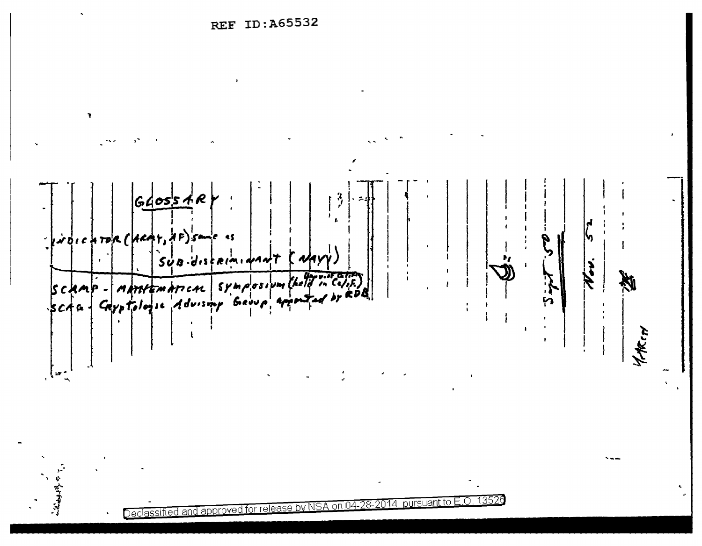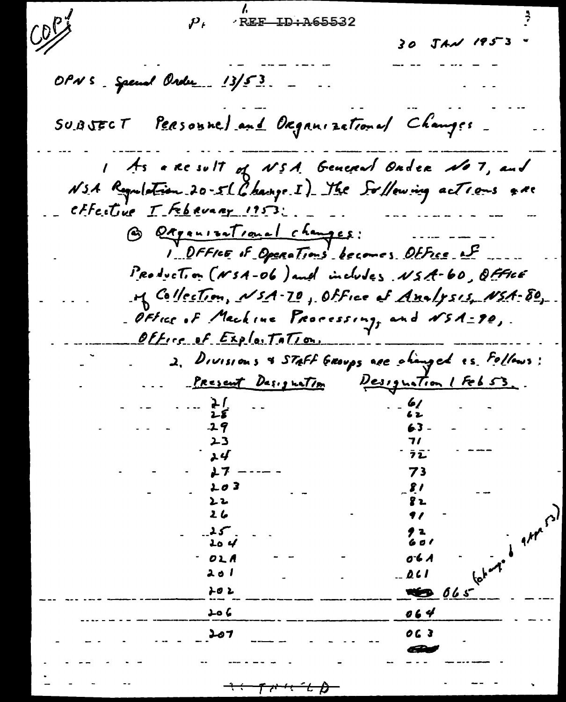$C_{1}^{D}$ REF ID: A65532  $\boldsymbol{\mathcal{P}}_t$  $30$   $JAM$   $195 - 3$ OPN S \_ Spenal Order \_\_ 13/53 Personne) and Organizational Changes.  $S$ U.B $J$ ECT As a Result of NSA General Onder No 7, and NSA Regulation 20-51 Change I) The Soffowing actions & ne effective I February 1953; G Qagenizational changes:<br>1. DFFICE of Operations becomes Otfice est Production (NSA-06) and includes NSA-60, OFFICE M Collection, NSA-70, Office of Analysis, NSA-80, Office of Machine Processing, and NSA=90,. Office of Exploitation. 2. Divisions & STAFF GROUPS are changed es. Follows: Present Designation Designation / Feb 53. 23 ュイ ラシ 73 上の3 81 ンひ 8 Z.  $26$  $A/T$ **Lo** 4 6 o I 0 b A OLA ふのし  $0.61$ とのと **ALES 065**  $064$ ءَ هئ OG 3 207  $\tau$